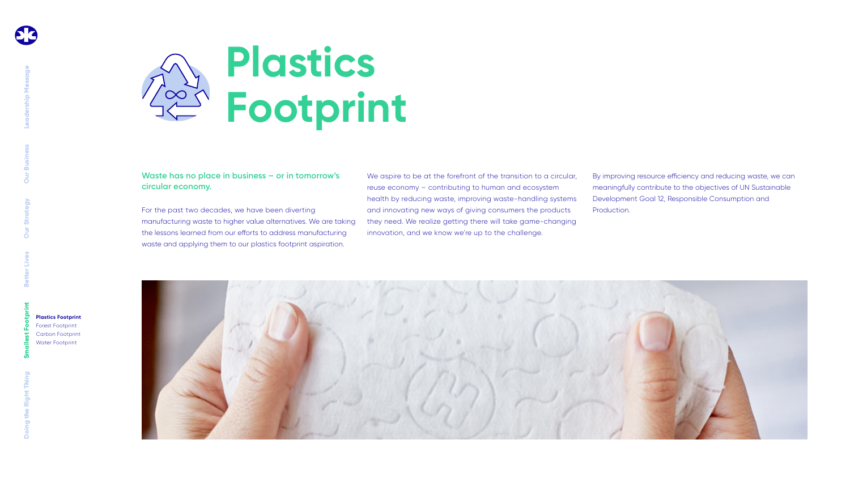

### **Waste has no place in business – or in tomorrow's circular economy.**

For the past two decades, we have been diverting manufacturing waste to higher value alternatives. We are taking the lessons learned from our efforts to address manufacturing waste and applying them to our plastics footprint aspiration.

We aspire to be at the forefront of the transition to a circular, reuse economy – contributing to human and ecosystem health by reducing waste, improving waste-handling systems and innovating new ways of giving consumers the products they need. We realize getting there will take game-changing innovation, and we know we're up to the challenge.

By improving resource efficiency and reducing waste, we can meaningfully contribute to the objectives of UN Sustainable Development Goal 12, Responsible Consumption and

Production.

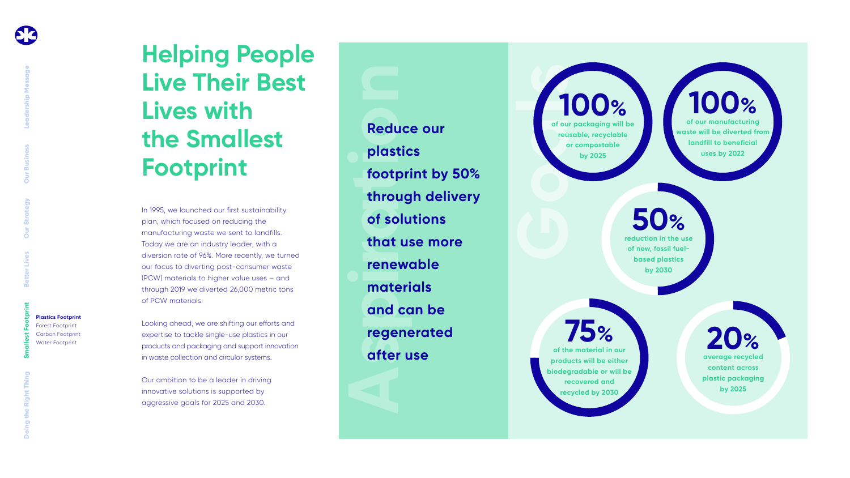In 1995, we launched our first sustainability plan, which focused on reducing the manufacturing waste we sent to landfills. Today we are an industry leader, with a diversion rate of 96%. More recently, we turned our focus to diverting post-consumer waste (PCW) materials to higher value uses – and through 2019 we diverted 26,000 metric tons of PCW materials.

**Reduce**<br>plastic<br>footpri<br>throug<br>of solu<br>that us<br>renewe<br>materi<br>and ca<br>regene<br>after u **Reduce our plastics footprint by 50% through delivery of solutions that use more renewable materials and can be regenerated after use**

Looking ahead, we are shifting our efforts and expertise to tackle single-use plastics in our products and packaging and support innovation in waste collection and circular systems.

**Goals 100% of our packaging will be reusable, recyclable or compostable by 2025**

Our ambition to be a leader in driving innovative solutions is supported by aggressive goals for 2025 and 2030.

## **Helping People Live Their Best Lives with the Smallest Footprint**

**75% of the material in our products will be either biodegradable or will be recovered and recycled by 2030**



**by 2025**

**100% of our manufacturing waste will be diverted from landfill to beneficial uses by 2022**



**reduction in the use of new, fossil fuelbased plastics by 2030**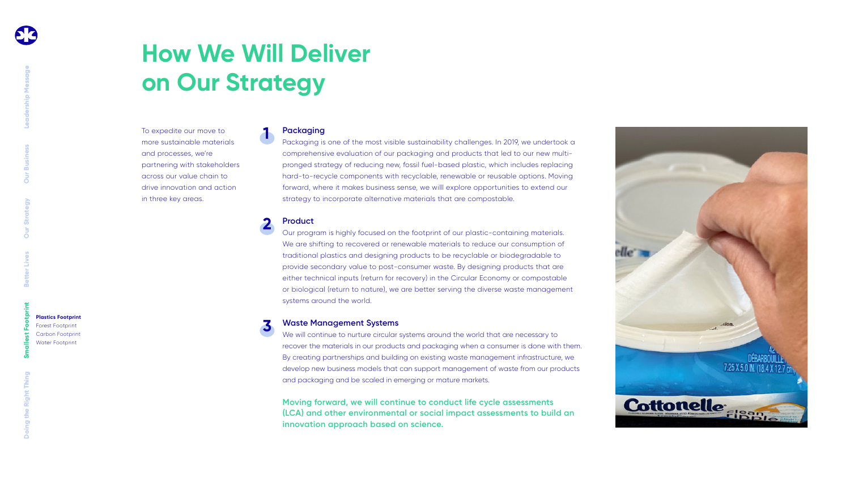To expedite our move to more sustainable materials and processes, we're partnering with stakeholders across our value chain to drive innovation and action in three key areas.

# **How We Will Deliver on Our Strategy**

### **Packaging**

Packaging is one of the most visible sustainability challenges. In 2019, we undertook a comprehensive evaluation of our packaging and products that led to our new multipronged strategy of reducing new, fossil fuel-based plastic, which includes replacing hard-to-recycle components with recyclable, renewable or reusable options. Moving forward, where it makes business sense, we willl explore opportunities to extend our strategy to incorporate alternative materials that are compostable.

### **Product**

Our program is highly focused on the footprint of our plastic-containing materials. We are shifting to recovered or renewable materials to reduce our consumption of traditional plastics and designing products to be recyclable or biodegradable to provide secondary value to post-consumer waste. By designing products that are either technical inputs (return for recovery) in the Circular Economy or compostable or biological (return to nature), we are better serving the diverse waste management systems around the world.

### **Waste Management Systems 3**

We will continue to nurture circular systems around the world that are necessary to recover the materials in our products and packaging when a consumer is done with them. By creating partnerships and building on existing waste management infrastructure, we develop new business models that can support management of waste from our products and packaging and be scaled in emerging or mature markets.

**1**

**2**

**Moving forward, we will continue to conduct life cycle assessments (LCA) and other environmental or social impact assessments to build an innovation approach based on science.**



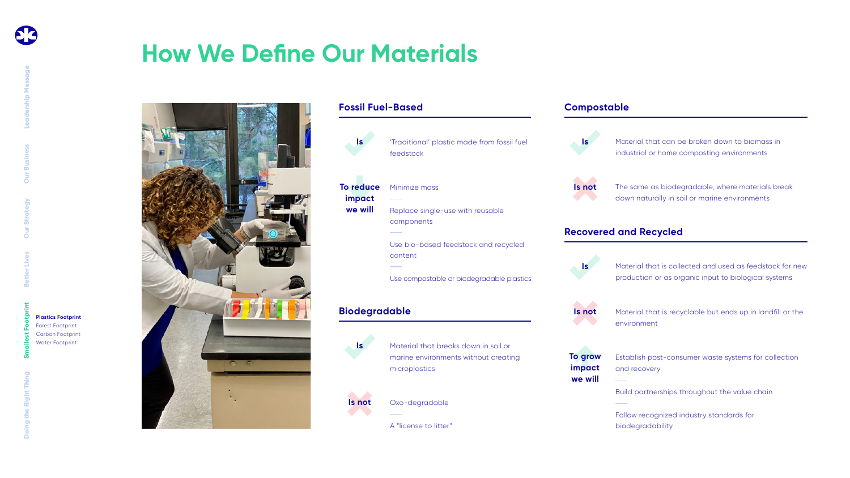## **How We Define Our Materials**



Material that can be broken down to biomass in industrial or home composting environments

The same as biodegradable, where materials break down naturally in soil or marine environments

Material that is collected and used as feedstock for new production or as organic input to biological systems



Material that is recyclable but ends up in landfill or the

Establish post-consumer waste systems for collection

Build partnerships throughout the value chain

Follow recognized industry standards for biodegradability

**Leadership Message Our Strategy Our Business**

**Better Lives**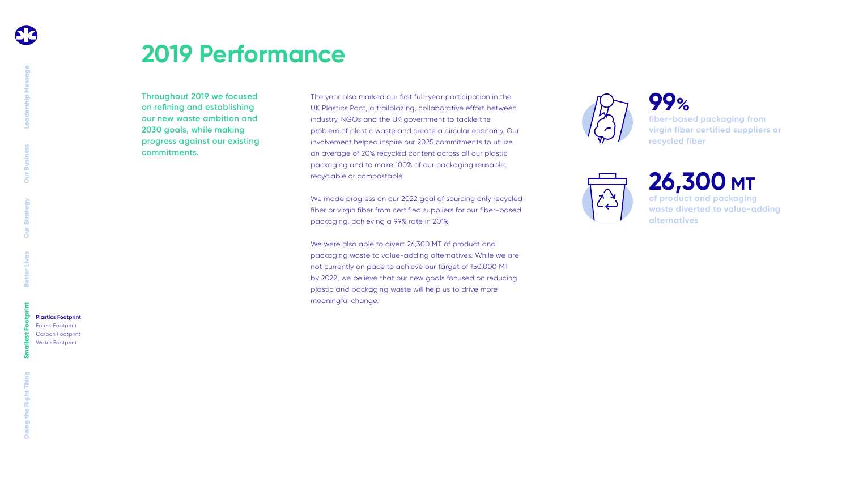**Throughout 2019 we focused on refining and establishing our new waste ambition and 2030 goals, while making progress against our existing commitments.**

The year also marked our first full-year participation in the UK Plastics Pact, a trailblazing, collaborative effort between industry, NGOs and the UK government to tackle the problem of plastic waste and create a circular economy. Our involvement helped inspire our 2025 commitments to utilize an average of 20% recycled content across all our plastic packaging and to make 100% of our packaging reusable, recyclable or compostable.

We made progress on our 2022 goal of sourcing only recycled fiber or virgin fiber from certified suppliers for our fiber-based packaging, achieving a 99% rate in 2019.

We were also able to divert 26,300 MT of product and packaging waste to value-adding alternatives. While we are not currently on pace to achieve our target of 150,000 MT by 2022, we believe that our new goals focused on reducing plastic and packaging waste will help us to drive more meaningful change.



## **2019 Performance**

### **26,300 MT of product and packaging waste diverted to value-adding alternatives**

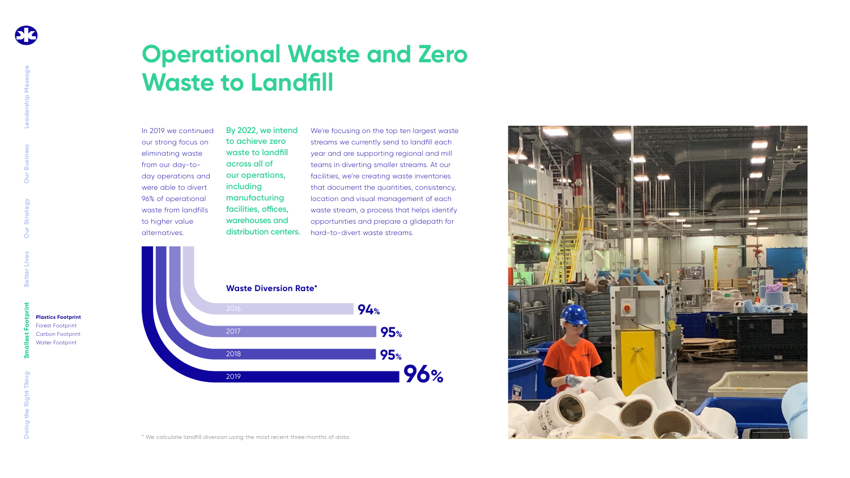## **Operational Waste and Zero Waste to Landfill**

In 2019 we continued our strong focus on eliminating waste from our day-today operations and were able to divert 96% of operational waste from landfills to higher value alternatives.

We're focusing on the top ten largest waste streams we currently send to landfill each year and are supporting regional and mill teams in diverting smaller streams. At our facilities, we're creating waste inventories that document the quantities, consistency, location and visual management of each waste stream, a process that helps identify opportunities and prepare a glidepath for hard-to-divert waste streams.



**By 2022, we intend to achieve zero waste to landfill across all of our operations, including manufacturing facilities, offices, warehouses and distribution centers.**

\* We calculate landfill diversion using the most recent three months of data.



**Leadership Message Our Strategy Our Business Better Lives**